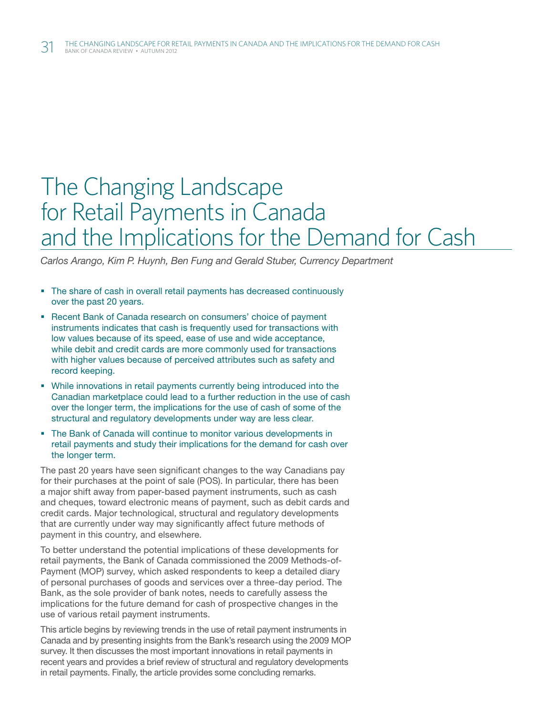# The Changing Landscape for Retail Payments in Canada and the Implications for the Demand for Cash

*Carlos Arango, Kim P. Huynh, Ben Fung and Gerald Stuber, Currency Department*

- The share of cash in overall retail payments has decreased continuously over the past 20 years.
- **-** Recent Bank of Canada research on consumers' choice of payment instruments indicates that cash is frequently used for transactions with low values because of its speed, ease of use and wide acceptance, while debit and credit cards are more commonly used for transactions with higher values because of perceived attributes such as safety and record keeping.
- While innovations in retail payments currently being introduced into the Canadian marketplace could lead to a further reduction in the use of cash over the longer term, the implications for the use of cash of some of the structural and regulatory developments under way are less clear.
- The Bank of Canada will continue to monitor various developments in retail payments and study their implications for the demand for cash over the longer term.

The past 20 years have seen significant changes to the way Canadians pay for their purchases at the point of sale (POS). In particular, there has been a major shift away from paper-based payment instruments, such as cash and cheques, toward electronic means of payment, such as debit cards and credit cards. Major technological, structural and regulatory developments that are currently under way may significantly affect future methods of payment in this country, and elsewhere.

To better understand the potential implications of these developments for retail payments, the Bank of Canada commissioned the 2009 Methods-of-Payment (MOP) survey, which asked respondents to keep a detailed diary of personal purchases of goods and services over a three-day period. The Bank, as the sole provider of bank notes, needs to carefully assess the implications for the future demand for cash of prospective changes in the use of various retail payment instruments.

This article begins by reviewing trends in the use of retail payment instruments in Canada and by presenting insights from the Bank's research using the 2009 MOP survey. It then discusses the most important innovations in retail payments in recent years and provides a brief review of structural and regulatory developments in retail payments. Finally, the article provides some concluding remarks.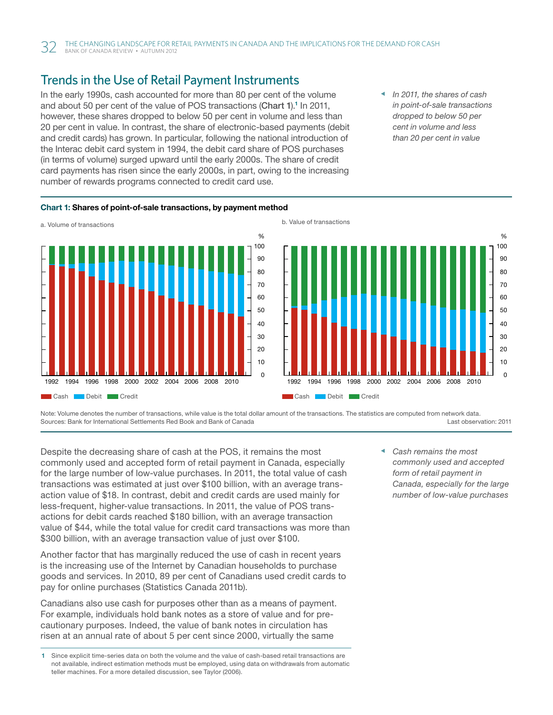## Trends in the Use of Retail Payment Instruments

In the early 1990s, cash accounted for more than 80 per cent of the volume and about 50 per cent of the value of POS transactions (Chart 1).<sup>1</sup> In 2011, however, these shares dropped to below 50 per cent in volume and less than 20 per cent in value. In contrast, the share of electronic-based payments (debit and credit cards) has grown. In particular, following the national introduction of the Interac debit card system in 1994, the debit card share of POS purchases (in terms of volume) surged upward until the early 2000s. The share of credit card payments has risen since the early 2000s, in part, owing to the increasing number of rewards programs connected to credit card use. as a paymonto

*In 2011, the shares of cash in point-of-sale transactions dropped to below 50 per cent in volume and less than 20 per cent in value*







Note: Volume denotes the number of transactions, while value is the total dollar amount of the transactions. The statistics are computed from network data. Sources: Bank for International Settlements Red Book and Bank of Canada Last observation: 2011

Despite the decreasing share of cash at the POS, it remains the most commonly used and accepted form of retail payment in Canada, especially for the large number of low-value purchases. In 2011, the total value of cash transactions was estimated at just over \$100 billion, with an average transaction value of \$18. In contrast, debit and credit cards are used mainly for less-frequent, higher-value transactions. In 2011, the value of POS transactions for debit cards reached \$180 billion, with an average transaction value of \$44, while the total value for credit card transactions was more than \$300 billion, with an average transaction value of just over \$100.

Another factor that has marginally reduced the use of cash in recent years is the increasing use of the Internet by Canadian households to purchase goods and services. In 2010, 89 per cent of Canadians used credit cards to pay for online purchases (Statistics Canada 2011b).

Canadians also use cash for purposes other than as a means of payment. For example, individuals hold bank notes as a store of value and for precautionary purposes. Indeed, the value of bank notes in circulation has risen at an annual rate of about 5 per cent since 2000, virtually the same

*Cash remains the most commonly used and accepted form of retail payment in Canada, especially for the large number of low-value purchases*

<sup>1</sup> Since explicit time-series data on both the volume and the value of cash-based retail transactions are not available, indirect estimation methods must be employed, using data on withdrawals from automatic teller machines. For a more detailed discussion, see Taylor (2006).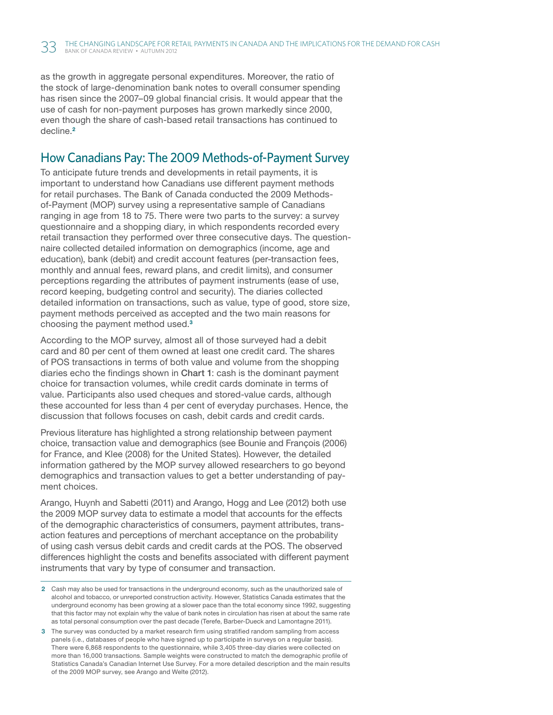as the growth in aggregate personal expenditures. Moreover, the ratio of the stock of large-denomination bank notes to overall consumer spending has risen since the 2007–09 global financial crisis. It would appear that the use of cash for non-payment purposes has grown markedly since 2000, even though the share of cash-based retail transactions has continued to decline.<sup>2</sup>

#### How Canadians Pay: The 2009 Methods-of-Payment Survey

To anticipate future trends and developments in retail payments, it is important to understand how Canadians use different payment methods for retail purchases. The Bank of Canada conducted the 2009 Methodsof-Payment (MOP) survey using a representative sample of Canadians ranging in age from 18 to 75. There were two parts to the survey: a survey questionnaire and a shopping diary, in which respondents recorded every retail transaction they performed over three consecutive days. The questionnaire collected detailed information on demographics (income, age and education), bank (debit) and credit account features (per-transaction fees, monthly and annual fees, reward plans, and credit limits), and consumer perceptions regarding the attributes of payment instruments (ease of use, record keeping, budgeting control and security). The diaries collected detailed information on transactions, such as value, type of good, store size, payment methods perceived as accepted and the two main reasons for choosing the payment method used.<sup>3</sup>

According to the MOP survey, almost all of those surveyed had a debit card and 80 per cent of them owned at least one credit card. The shares of POS transactions in terms of both value and volume from the shopping diaries echo the findings shown in Chart 1: cash is the dominant payment choice for transaction volumes, while credit cards dominate in terms of value. Participants also used cheques and stored-value cards, although these accounted for less than 4 per cent of everyday purchases. Hence, the discussion that follows focuses on cash, debit cards and credit cards.

Previous literature has highlighted a strong relationship between payment choice, transaction value and demographics (see Bounie and François (2006) for France, and Klee (2008) for the United States). However, the detailed information gathered by the MOP survey allowed researchers to go beyond demographics and transaction values to get a better understanding of payment choices.

Arango, Huynh and Sabetti (2011) and Arango, Hogg and Lee (2012) both use the 2009 MOP survey data to estimate a model that accounts for the effects of the demographic characteristics of consumers, payment attributes, transaction features and perceptions of merchant acceptance on the probability of using cash versus debit cards and credit cards at the POS. The observed differences highlight the costs and benefits associated with different payment instruments that vary by type of consumer and transaction.

3 The survey was conducted by a market research firm using stratified random sampling from access panels (i.e., databases of people who have signed up to participate in surveys on a regular basis). There were 6,868 respondents to the questionnaire, while 3,405 three-day diaries were collected on more than 16,000 transactions. Sample weights were constructed to match the demographic profile of Statistics Canada's Canadian Internet Use Survey. For a more detailed description and the main results of the 2009 MOP survey, see Arango and Welte (2012).

<sup>2</sup> Cash may also be used for transactions in the underground economy, such as the unauthorized sale of alcohol and tobacco, or unreported construction activity. However, Statistics Canada estimates that the underground economy has been growing at a slower pace than the total economy since 1992, suggesting that this factor may not explain why the value of bank notes in circulation has risen at about the same rate as total personal consumption over the past decade (Terefe, Barber-Dueck and Lamontagne 2011).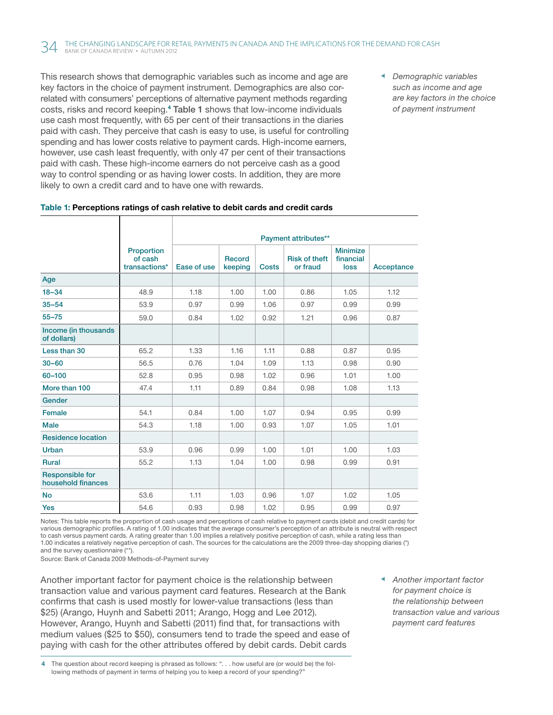This research shows that demographic variables such as income and age are key factors in the choice of payment instrument. Demographics are also correlated with consumers' perceptions of alternative payment methods regarding costs, risks and record keeping.<sup>4</sup> Table 1 shows that low-income individuals use cash most frequently, with 65 per cent of their transactions in the diaries paid with cash. They perceive that cash is easy to use, is useful for controlling spending and has lower costs relative to payment cards. High-income earners, however, use cash least frequently, with only 47 per cent of their transactions paid with cash. These high-income earners do not perceive cash as a good way to control spending or as having lower costs. In addition, they are more likely to own a credit card and to have one with rewards.

*Demographic variables such as income and age are key factors in the choice of payment instrument*

|  |  |  | Table 1: Perceptions ratings of cash relative to debit cards and credit cards |  |  |
|--|--|--|-------------------------------------------------------------------------------|--|--|
|--|--|--|-------------------------------------------------------------------------------|--|--|

|                                              |                                        | Payment attributes** |                          |              |                                  |                                      |            |  |
|----------------------------------------------|----------------------------------------|----------------------|--------------------------|--------------|----------------------------------|--------------------------------------|------------|--|
|                                              | Proportion<br>of cash<br>transactions* | Ease of use          | <b>Record</b><br>keeping | <b>Costs</b> | <b>Risk of theft</b><br>or fraud | <b>Minimize</b><br>financial<br>loss | Acceptance |  |
| Age                                          |                                        |                      |                          |              |                                  |                                      |            |  |
| $18 - 34$                                    | 48.9                                   | 1.18                 | 1.00                     | 1.00         | 0.86                             | 1.05                                 | 1.12       |  |
| $35 - 54$                                    | 53.9                                   | 0.97                 | 0.99                     | 1.06         | 0.97                             | 0.99                                 | 0.99       |  |
| $55 - 75$                                    | 59.0                                   | 0.84                 | 1.02                     | 0.92         | 1.21                             | 0.96                                 | 0.87       |  |
| Income (in thousands<br>of dollars)          |                                        |                      |                          |              |                                  |                                      |            |  |
| Less than 30                                 | 65.2                                   | 1.33                 | 1.16                     | 1.11         | 0.88                             | 0.87                                 | 0.95       |  |
| $30 - 60$                                    | 56.5                                   | 0.76                 | 1.04                     | 1.09         | 1.13                             | 0.98                                 | 0.90       |  |
| 60-100                                       | 52.8                                   | 0.95                 | 0.98                     | 1.02         | 0.96                             | 1.01                                 | 1.00       |  |
| More than 100                                | 47.4                                   | 1.11                 | 0.89                     | 0.84         | 0.98                             | 1.08                                 | 1.13       |  |
| Gender                                       |                                        |                      |                          |              |                                  |                                      |            |  |
| Female                                       | 54.1                                   | 0.84                 | 1.00                     | 1.07         | 0.94                             | 0.95                                 | 0.99       |  |
| <b>Male</b>                                  | 54.3                                   | 1.18                 | 1.00                     | 0.93         | 1.07                             | 1.05                                 | 1.01       |  |
| <b>Residence location</b>                    |                                        |                      |                          |              |                                  |                                      |            |  |
| Urban                                        | 53.9                                   | 0.96                 | 0.99                     | 1.00         | 1.01                             | 1.00                                 | 1.03       |  |
| <b>Rural</b>                                 | 55.2                                   | 1.13                 | 1.04                     | 1.00         | 0.98                             | 0.99                                 | 0.91       |  |
| <b>Responsible for</b><br>household finances |                                        |                      |                          |              |                                  |                                      |            |  |
| <b>No</b>                                    | 53.6                                   | 1.11                 | 1.03                     | 0.96         | 1.07                             | 1.02                                 | 1.05       |  |
| <b>Yes</b>                                   | 54.6                                   | 0.93                 | 0.98                     | 1.02         | 0.95                             | 0.99                                 | 0.97       |  |

Notes: This table reports the proportion of cash usage and perceptions of cash relative to payment cards (debit and credit cards) for various demographic profiles. A rating of 1.00 indicates that the average consumer's perception of an attribute is neutral with respect to cash versus payment cards. A rating greater than 1.00 implies a relatively positive perception of cash, while a rating less than 1.00 indicates a relatively negative perception of cash. The sources for the calculations are the 2009 three-day shopping diaries (\*) and the survey questionnaire (\*\*).

Source: Bank of Canada 2009 Methods-of-Payment survey

Another important factor for payment choice is the relationship between transaction value and various payment card features. Research at the Bank confirms that cash is used mostly for lower-value transactions (less than \$25) (Arango, Huynh and Sabetti 2011; Arango, Hogg and Lee 2012). However, Arango, Huynh and Sabetti (2011) find that, for transactions with medium values (\$25 to \$50), consumers tend to trade the speed and ease of paying with cash for the other attributes offered by debit cards. Debit cards

4 The question about record keeping is phrased as follows: ". . . how useful are (or would be) the following methods of payment in terms of helping you to keep a record of your spending?"

*Another important factor for payment choice is the relationship between transaction value and various payment card features*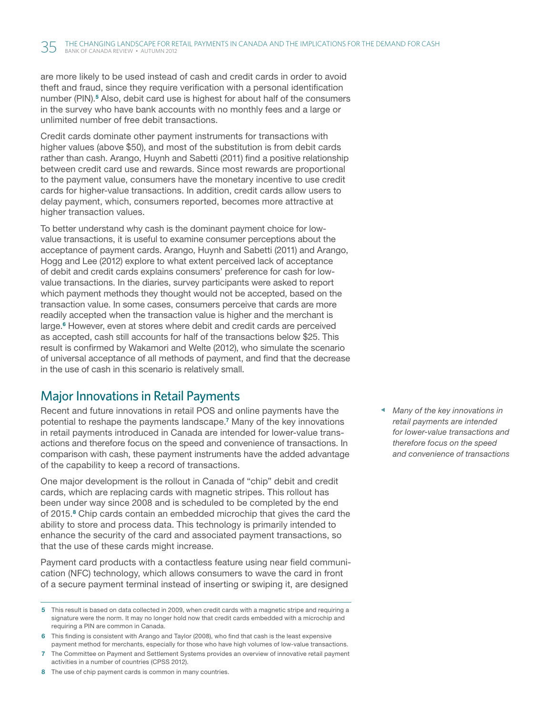are more likely to be used instead of cash and credit cards in order to avoid theft and fraud, since they require verification with a personal identification number (PIN).<sup>5</sup> Also, debit card use is highest for about half of the consumers in the survey who have bank accounts with no monthly fees and a large or unlimited number of free debit transactions.

Credit cards dominate other payment instruments for transactions with higher values (above \$50), and most of the substitution is from debit cards rather than cash. Arango, Huynh and Sabetti (2011) find a positive relationship between credit card use and rewards. Since most rewards are proportional to the payment value, consumers have the monetary incentive to use credit cards for higher-value transactions. In addition, credit cards allow users to delay payment, which, consumers reported, becomes more attractive at higher transaction values.

To better understand why cash is the dominant payment choice for lowvalue transactions, it is useful to examine consumer perceptions about the acceptance of payment cards. Arango, Huynh and Sabetti (2011) and Arango, Hogg and Lee (2012) explore to what extent perceived lack of acceptance of debit and credit cards explains consumers' preference for cash for lowvalue transactions. In the diaries, survey participants were asked to report which payment methods they thought would not be accepted, based on the transaction value. In some cases, consumers perceive that cards are more readily accepted when the transaction value is higher and the merchant is large.<sup>6</sup> However, even at stores where debit and credit cards are perceived as accepted, cash still accounts for half of the transactions below \$25. This result is confirmed by Wakamori and Welte (2012), who simulate the scenario of universal acceptance of all methods of payment, and find that the decrease in the use of cash in this scenario is relatively small.

#### Major Innovations in Retail Payments

Recent and future innovations in retail POS and online payments have the potential to reshape the payments landscape.<sup>7</sup> Many of the key innovations in retail payments introduced in Canada are intended for lower-value transactions and therefore focus on the speed and convenience of transactions. In comparison with cash, these payment instruments have the added advantage of the capability to keep a record of transactions.

One major development is the rollout in Canada of "chip" debit and credit cards, which are replacing cards with magnetic stripes. This rollout has been under way since 2008 and is scheduled to be completed by the end of 2015.<sup>8</sup> Chip cards contain an embedded microchip that gives the card the ability to store and process data. This technology is primarily intended to enhance the security of the card and associated payment transactions, so that the use of these cards might increase.

Payment card products with a contactless feature using near field communication (NFC) technology, which allows consumers to wave the card in front of a secure payment terminal instead of inserting or swiping it, are designed

- 5 This result is based on data collected in 2009, when credit cards with a magnetic stripe and requiring a signature were the norm. It may no longer hold now that credit cards embedded with a microchip and requiring a PIN are common in Canada.
- 6 This finding is consistent with Arango and Taylor (2008), who find that cash is the least expensive payment method for merchants, especially for those who have high volumes of low-value transactions.
- 7 The Committee on Payment and Settlement Systems provides an overview of innovative retail payment activities in a number of countries (CPSS 2012).
- 8 The use of chip payment cards is common in many countries.

*Many of the key innovations in retail payments are intended for lower-value transactions and therefore focus on the speed and convenience of transactions*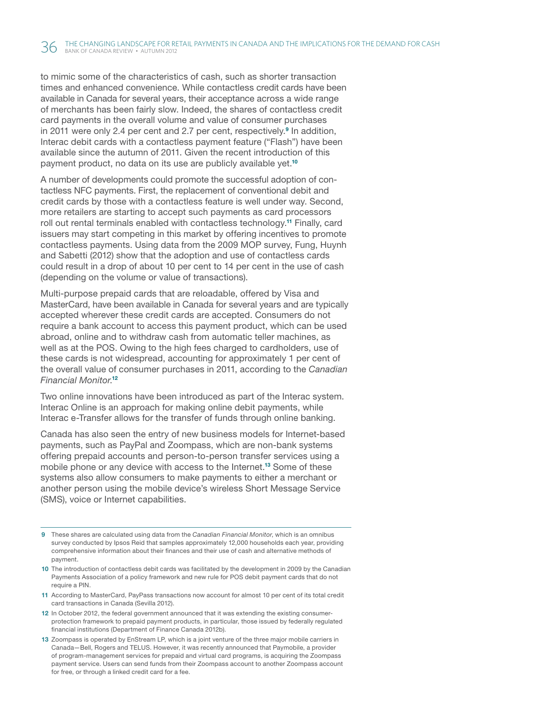to mimic some of the characteristics of cash, such as shorter transaction times and enhanced convenience. While contactless credit cards have been available in Canada for several years, their acceptance across a wide range of merchants has been fairly slow. Indeed, the shares of contactless credit card payments in the overall volume and value of consumer purchases in 2011 were only 2.4 per cent and 2.7 per cent, respectively.<sup>9</sup> In addition, Interac debit cards with a contactless payment feature ("Flash") have been available since the autumn of 2011. Given the recent introduction of this payment product, no data on its use are publicly available yet.<sup>10</sup>

A number of developments could promote the successful adoption of contactless NFC payments. First, the replacement of conventional debit and credit cards by those with a contactless feature is well under way. Second, more retailers are starting to accept such payments as card processors roll out rental terminals enabled with contactless technology.<sup>11</sup> Finally, card issuers may start competing in this market by offering incentives to promote contactless payments. Using data from the 2009 MOP survey, Fung, Huynh and Sabetti (2012) show that the adoption and use of contactless cards could result in a drop of about 10 per cent to 14 per cent in the use of cash (depending on the volume or value of transactions).

Multi-purpose prepaid cards that are reloadable, offered by Visa and MasterCard, have been available in Canada for several years and are typically accepted wherever these credit cards are accepted. Consumers do not require a bank account to access this payment product, which can be used abroad, online and to withdraw cash from automatic teller machines, as well as at the POS. Owing to the high fees charged to cardholders, use of these cards is not widespread, accounting for approximately 1 per cent of the overall value of consumer purchases in 2011, according to the *Canadian Financial Monitor*. 12

Two online innovations have been introduced as part of the Interac system. Interac Online is an approach for making online debit payments, while Interac e-Transfer allows for the transfer of funds through online banking.

Canada has also seen the entry of new business models for Internet-based payments, such as PayPal and Zoompass, which are non-bank systems offering prepaid accounts and person-to-person transfer services using a mobile phone or any device with access to the Internet.<sup>13</sup> Some of these systems also allow consumers to make payments to either a merchant or another person using the mobile device's wireless Short Message Service (SMS), voice or Internet capabilities.

- 9 These shares are calculated using data from the *Canadian Financial Monitor*, which is an omnibus survey conducted by Ipsos Reid that samples approximately 12,000 households each year, providing comprehensive information about their finances and their use of cash and alternative methods of payment.
- 10 The introduction of contactless debit cards was facilitated by the development in 2009 by the Canadian Payments Association of a policy framework and new rule for POS debit payment cards that do not require a PIN.
- 11 According to MasterCard, PayPass transactions now account for almost 10 per cent of its total credit card transactions in Canada (Sevilla 2012).
- 12 In October 2012, the federal government announced that it was extending the existing consumerprotection framework to prepaid payment products, in particular, those issued by federally regulated financial institutions (Department of Finance Canada 2012b).
- 13 Zoompass is operated by EnStream LP, which is a joint venture of the three major mobile carriers in Canada—Bell, Rogers and TELUS. However, it was recently announced that Paymobile, a provider of program-management services for prepaid and virtual card programs, is acquiring the Zoompass payment service. Users can send funds from their Zoompass account to another Zoompass account for free, or through a linked credit card for a fee.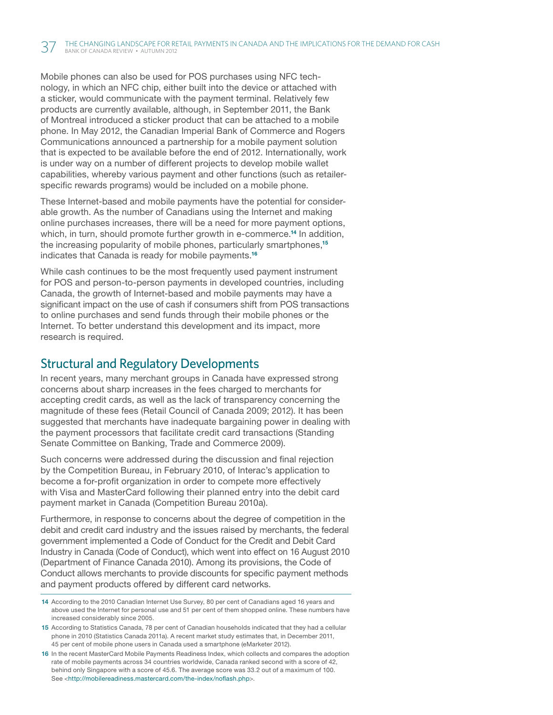Mobile phones can also be used for POS purchases using NFC technology, in which an NFC chip, either built into the device or attached with a sticker, would communicate with the payment terminal. Relatively few products are currently available, although, in September 2011, the Bank of Montreal introduced a sticker product that can be attached to a mobile phone. In May 2012, the Canadian Imperial Bank of Commerce and Rogers Communications announced a partnership for a mobile payment solution that is expected to be available before the end of 2012. Internationally, work is under way on a number of different projects to develop mobile wallet capabilities, whereby various payment and other functions (such as retailerspecific rewards programs) would be included on a mobile phone.

These Internet-based and mobile payments have the potential for considerable growth. As the number of Canadians using the Internet and making online purchases increases, there will be a need for more payment options, which, in turn, should promote further growth in e-commerce.<sup>14</sup> In addition, the increasing popularity of mobile phones, particularly smartphones,<sup>15</sup> indicates that Canada is ready for mobile payments.<sup>16</sup>

While cash continues to be the most frequently used payment instrument for POS and person-to-person payments in developed countries, including Canada, the growth of Internet-based and mobile payments may have a significant impact on the use of cash if consumers shift from POS transactions to online purchases and send funds through their mobile phones or the Internet. To better understand this development and its impact, more research is required.

### Structural and Regulatory Developments

In recent years, many merchant groups in Canada have expressed strong concerns about sharp increases in the fees charged to merchants for accepting credit cards, as well as the lack of transparency concerning the magnitude of these fees (Retail Council of Canada 2009; 2012). It has been suggested that merchants have inadequate bargaining power in dealing with the payment processors that facilitate credit card transactions (Standing Senate Committee on Banking, Trade and Commerce 2009).

Such concerns were addressed during the discussion and final rejection by the Competition Bureau, in February 2010, of Interac's application to become a for-profit organization in order to compete more effectively with Visa and MasterCard following their planned entry into the debit card payment market in Canada (Competition Bureau 2010a).

Furthermore, in response to concerns about the degree of competition in the debit and credit card industry and the issues raised by merchants, the federal government implemented a Code of Conduct for the Credit and Debit Card Industry in Canada (Code of Conduct), which went into effect on 16 August 2010 (Department of Finance Canada 2010). Among its provisions, the Code of Conduct allows merchants to provide discounts for specific payment methods and payment products offered by different card networks.

<sup>14</sup> According to the 2010 Canadian Internet Use Survey, 80 per cent of Canadians aged 16 years and above used the Internet for personal use and 51 per cent of them shopped online. These numbers have increased considerably since 2005.

<sup>15</sup> According to Statistics Canada, 78 per cent of Canadian households indicated that they had a cellular phone in 2010 (Statistics Canada 2011a). A recent market study estimates that, in December 2011, 45 per cent of mobile phone users in Canada used a smartphone (eMarketer 2012).

<sup>16</sup> In the recent MasterCard Mobile Payments Readiness Index, which collects and compares the adoption rate of mobile payments across 34 countries worldwide, Canada ranked second with a score of 42, behind only Singapore with a score of 45.6. The average score was 33.2 out of a maximum of 100. See <<http://mobilereadiness.mastercard.com/the-index/noflash.php>>.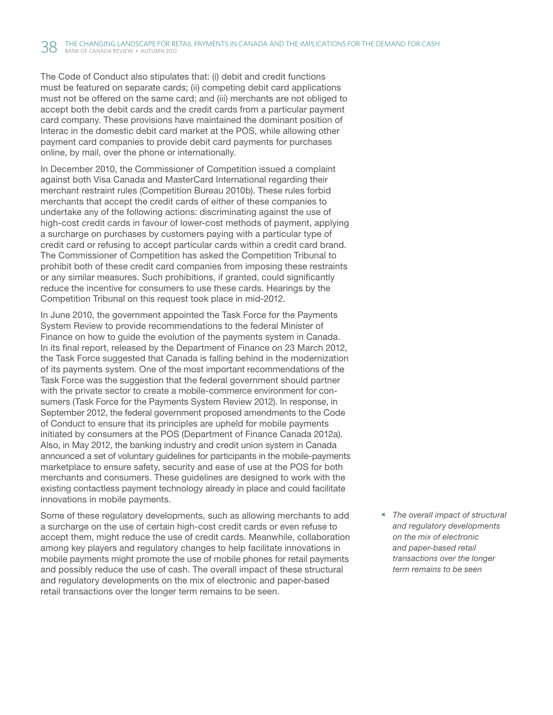The Code of Conduct also stipulates that: (i) debit and credit functions must be featured on separate cards; (ii) competing debit card applications must not be offered on the same card; and (iii) merchants are not obliged to accept both the debit cards and the credit cards from a particular payment card company. These provisions have maintained the dominant position of Interac in the domestic debit card market at the POS, while allowing other payment card companies to provide debit card payments for purchases online, by mail, over the phone or internationally.

In December 2010, the Commissioner of Competition issued a complaint against both Visa Canada and MasterCard International regarding their merchant restraint rules (Competition Bureau 2010b). These rules forbid merchants that accept the credit cards of either of these companies to undertake any of the following actions: discriminating against the use of high-cost credit cards in favour of lower-cost methods of payment, applying a surcharge on purchases by customers paying with a particular type of credit card or refusing to accept particular cards within a credit card brand. The Commissioner of Competition has asked the Competition Tribunal to prohibit both of these credit card companies from imposing these restraints or any similar measures. Such prohibitions, if granted, could significantly reduce the incentive for consumers to use these cards. Hearings by the Competition Tribunal on this request took place in mid-2012.

In June 2010, the government appointed the Task Force for the Payments System Review to provide recommendations to the federal Minister of Finance on how to guide the evolution of the payments system in Canada. In its final report, released by the Department of Finance on 23 March 2012, the Task Force suggested that Canada is falling behind in the modernization of its payments system. One of the most important recommendations of the Task Force was the suggestion that the federal government should partner with the private sector to create a mobile-commerce environment for consumers (Task Force for the Payments System Review 2012). In response, in September 2012, the federal government proposed amendments to the Code of Conduct to ensure that its principles are upheld for mobile payments initiated by consumers at the POS (Department of Finance Canada 2012a). Also, in May 2012, the banking industry and credit union system in Canada announced a set of voluntary guidelines for participants in the mobile-payments marketplace to ensure safety, security and ease of use at the POS for both merchants and consumers. These guidelines are designed to work with the existing contactless payment technology already in place and could facilitate innovations in mobile payments.

Some of these regulatory developments, such as allowing merchants to add a surcharge on the use of certain high-cost credit cards or even refuse to accept them, might reduce the use of credit cards. Meanwhile, collaboration among key players and regulatory changes to help facilitate innovations in mobile payments might promote the use of mobile phones for retail payments and possibly reduce the use of cash. The overall impact of these structural and regulatory developments on the mix of electronic and paper-based retail transactions over the longer term remains to be seen.

*The overall impact of structural and regulatory developments on the mix of electronic and paper-based retail transactions over the longer term remains to be seen*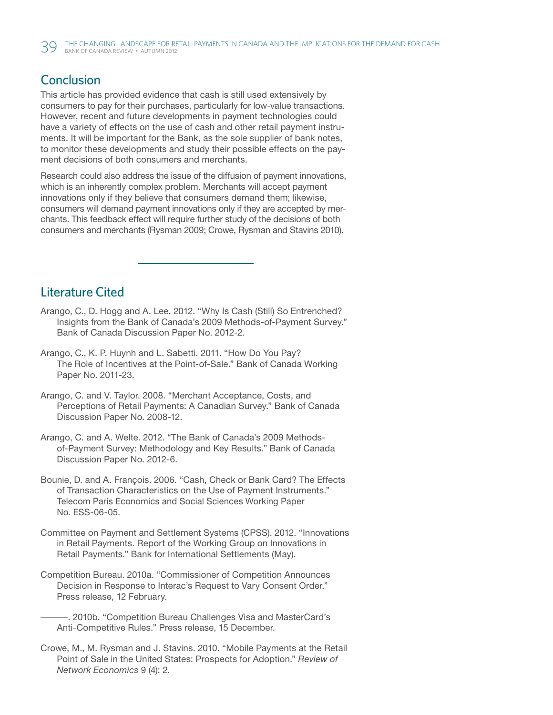#### **Conclusion**

This article has provided evidence that cash is still used extensively by consumers to pay for their purchases, particularly for low-value transactions. However, recent and future developments in payment technologies could have a variety of effects on the use of cash and other retail payment instruments. It will be important for the Bank, as the sole supplier of bank notes, to monitor these developments and study their possible effects on the payment decisions of both consumers and merchants.

Research could also address the issue of the diffusion of payment innovations, which is an inherently complex problem. Merchants will accept payment innovations only if they believe that consumers demand them; likewise, consumers will demand payment innovations only if they are accepted by merchants. This feedback effect will require further study of the decisions of both consumers and merchants (Rysman 2009; Crowe, Rysman and Stavins 2010).

#### Literature Cited

- Arango, C., D. Hogg and A. Lee. 2012. "Why Is Cash (Still) So Entrenched? Insights from the Bank of Canada's 2009 Methods-of-Payment Survey." Bank of Canada Discussion Paper No. 2012-2.
- Arango, C., K. P. Huynh and L. Sabetti. 2011. "How Do You Pay? The Role of Incentives at the Point-of-Sale." Bank of Canada Working Paper No. 2011-23.
- Arango, C. and V. Taylor. 2008. "Merchant Acceptance, Costs, and Perceptions of Retail Payments: A Canadian Survey." Bank of Canada Discussion Paper No. 2008-12.
- Arango, C. and A. Welte. 2012. "The Bank of Canada's 2009 Methodsof-Payment Survey: Methodology and Key Results." Bank of Canada Discussion Paper No. 2012-6.
- Bounie, D. and A. François. 2006. "Cash, Check or Bank Card? The Effects of Transaction Characteristics on the Use of Payment Instruments." Telecom Paris Economics and Social Sciences Working Paper No. ESS-06-05.
- Committee on Payment and Settlement Systems (CPSS). 2012. "Innovations in Retail Payments. Report of the Working Group on Innovations in Retail Payments." Bank for International Settlements (May).
- Competition Bureau. 2010a. "Commissioner of Competition Announces Decision in Response to Interac's Request to Vary Consent Order." Press release, 12 February.
	- —. 2010b. "Competition Bureau Challenges Visa and MasterCard's Anti-Competitive Rules." Press release, 15 December.
- Crowe, M., M. Rysman and J. Stavins. 2010. "Mobile Payments at the Retail Point of Sale in the United States: Prospects for Adoption." *Review of Network Economics* 9 (4): 2.